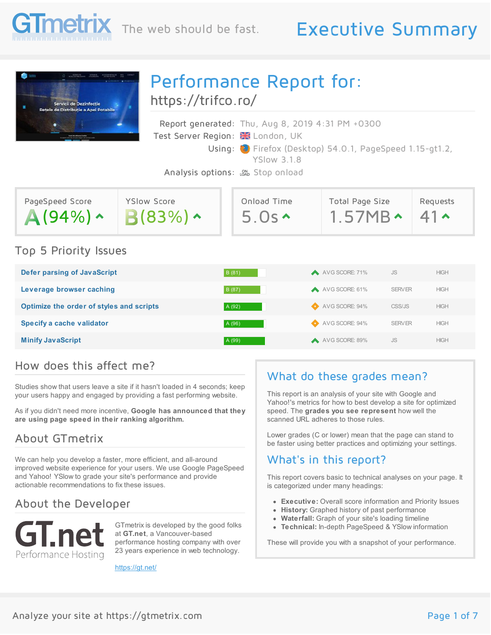

# The web should be fast. Executive Summary

| Servicii de Dezinfectie<br><b>Retele de Distributie a Apei Potabile</b> | https://trifco.ro/                  | Performance Report for:                                                                                                                                                                                               |                                         |                              |
|-------------------------------------------------------------------------|-------------------------------------|-----------------------------------------------------------------------------------------------------------------------------------------------------------------------------------------------------------------------|-----------------------------------------|------------------------------|
|                                                                         |                                     | Report generated: Thu, Aug 8, 2019 4:31 PM +0300<br>Test Server Region: E London, UK<br>Using: C Firefox (Desktop) 54.0.1, PageSpeed 1.15-gt1.2,<br><b>YSlow 318</b><br>Analysis options: <sub>LOND</sub> Stop onload |                                         |                              |
| PageSpeed Score<br>$\triangle$ (94%) $\sim$                             | <b>YSlow Score</b><br>$B(83%) \sim$ | Onload Time<br>$5.0s \rightarrow$                                                                                                                                                                                     | Total Page Size<br>$1.57MB \rightarrow$ | Requests<br>41 ^             |
| Top 5 Priority Issues                                                   |                                     |                                                                                                                                                                                                                       |                                         |                              |
| Defer parsing of JavaScript                                             |                                     | B (81)                                                                                                                                                                                                                | AVG SCORE: 71%                          | <b>JS</b><br><b>HIGH</b>     |
| Leverage browser caching                                                |                                     | B (87)                                                                                                                                                                                                                | AVG SCORE: 61%                          | <b>SERVER</b><br><b>HIGH</b> |
| Optimize the order of styles and scripts                                |                                     | A (92)                                                                                                                                                                                                                | AVG SCORE: 94%                          | CSS/JS<br><b>HIGH</b>        |
| Specify a cache validator                                               |                                     | A (96)                                                                                                                                                                                                                | AVG SCORE: 94%                          | <b>HIGH</b><br><b>SERVER</b> |
| <b>Minify JavaScript</b>                                                |                                     | A (99)                                                                                                                                                                                                                | A VG SCORE: 89%                         | <b>JS</b><br><b>HIGH</b>     |

### How does this affect me?

Studies show that users leave a site if it hasn't loaded in 4 seconds; keep your users happy and engaged by providing a fast performing website.

As if you didn't need more incentive, **Google has announced that they are using page speed in their ranking algorithm.**

## About GTmetrix

We can help you develop a faster, more efficient, and all-around improved website experience for your users. We use Google PageSpeed and Yahoo! YSlow to grade your site's performance and provide actionable recommendations to fix these issues.

## About the Developer



GTmetrix is developed by the good folks at **GT.net**, a Vancouver-based performance hosting company with over 23 years experience in web technology.

<https://gt.net/>

## What do these grades mean?

This report is an analysis of your site with Google and Yahoo!'s metrics for how to best develop a site for optimized speed. The **grades you see represent** how well the scanned URL adheres to those rules.

Lower grades (C or lower) mean that the page can stand to be faster using better practices and optimizing your settings.

## What's in this report?

This report covers basic to technical analyses on your page. It is categorized under many headings:

- **Executive:** Overall score information and Priority Issues
- **History:** Graphed history of past performance
- **Waterfall:** Graph of your site's loading timeline
- **Technical:** In-depth PageSpeed & YSlow information

These will provide you with a snapshot of your performance.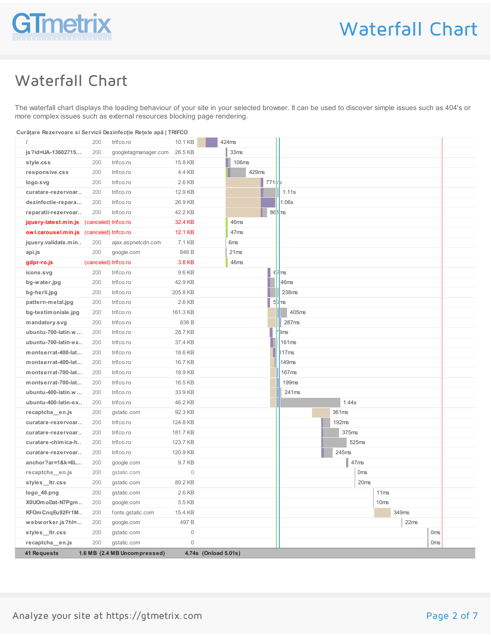

# Waterfall Chart

The waterfall chart displays the loading behaviour of your site in your selected browser. It can be used to discover simple issues such as 404's or more complex issues such as external resources blocking page rendering.

| Curătare Rezervoare și Servicii Dezinfectie Retele apă   TRIFCO |  |
|-----------------------------------------------------------------|--|
|                                                                 |  |

|                                           | 200                  | trifco.ro                    | 10.1 KB          | 424ms                |                      |              |                  |      |       |                 |  |
|-------------------------------------------|----------------------|------------------------------|------------------|----------------------|----------------------|--------------|------------------|------|-------|-----------------|--|
| js?id=UA-13602715                         | 200                  | googletagmanager.com         | 26.5 KB          | 33 <sub>ms</sub>     |                      |              |                  |      |       |                 |  |
| style.css                                 | 200                  | trifco.ro                    | 15.8 KB          |                      | <b>106ms</b>         |              |                  |      |       |                 |  |
| responsive.css                            | 200                  | trifco.ro                    | 4.4 KB           |                      | 429ms                |              |                  |      |       |                 |  |
| logo.svg                                  | 200                  | trifco.ro                    | 2.6 KB           |                      | $771$ <sub>r</sub> s |              |                  |      |       |                 |  |
| curatare-rezervoar                        | 200                  | trifco.ro                    | 12.9 KB          |                      |                      | 1.11s        |                  |      |       |                 |  |
| dezinfectie-repara                        | 200                  | trifco.ro                    | 26.9 KB          |                      |                      | 1.06s        |                  |      |       |                 |  |
| reparatii-rezervoar                       | 200                  | trifco.ro                    | 42.2 KB          |                      |                      | $86 1 $ ms   |                  |      |       |                 |  |
| jquery-latest.min.js (canceled) trifco.ro |                      |                              | 32.4 KB          | 46ms                 |                      |              |                  |      |       |                 |  |
| owl.carousel.min.js (canceled) trifco.ro  |                      |                              | 12.1 KB          | 47ms                 |                      |              |                  |      |       |                 |  |
| jquery.validate.min                       | 200                  | ajax.aspnetcdn.com           | 7.1 KB           | 6ms                  |                      |              |                  |      |       |                 |  |
| api.js                                    | 200                  | google.com                   | 848 B            | 21ms                 |                      |              |                  |      |       |                 |  |
| gdpr-ro.js                                | (canceled) trifco.ro |                              | 3.8 KB           | 46ms                 |                      |              |                  |      |       |                 |  |
| icons.svg                                 | 200                  | trifco.ro                    | 9.6 KB           |                      |                      | 67ms         |                  |      |       |                 |  |
| bg-water.jpg                              | 200                  | trifco.ro                    | 42.9 KB          |                      |                      | 46ms         |                  |      |       |                 |  |
| bg-herli.jpg                              | 200                  | trifco.ro                    | 205.8 KB         |                      |                      | 238ms        |                  |      |       |                 |  |
| pattern-metal.jpg                         | 200                  | trifco.ro                    | 2.6 KB           |                      |                      | 53ms         |                  |      |       |                 |  |
| bg-testimoniale.jpg                       | 200                  | trifco.ro                    | 161.3 KB         |                      |                      | 405ms        |                  |      |       |                 |  |
| mandatory.svg                             | 200                  | trifco.ro                    | 838 B            |                      |                      | 287ms        |                  |      |       |                 |  |
| ubuntu-700-latin.w                        | 200                  | trifco.ro                    | 28.7 KB          |                      |                      | 3ms          |                  |      |       |                 |  |
| ubuntu-700-latin-ex                       | 200                  | trifco.ro                    | 37.4 KB          |                      |                      | 161ms        |                  |      |       |                 |  |
| montserrat-400-lat                        | 200                  | trifco.ro                    | 18.6 KB          |                      |                      | 17ms         |                  |      |       |                 |  |
| montserrat-400-lat                        | 200                  | trifco.ro                    | 16.7 KB          |                      |                      | <b>149ms</b> |                  |      |       |                 |  |
| montserrat-700-lat                        | 200                  | trifco.ro                    | 18.9 KB          |                      |                      | 167ms        |                  |      |       |                 |  |
| montserrat-700-lat                        | 200                  | trifco.ro                    | 16.5 KB          |                      |                      | <b>199ms</b> |                  |      |       |                 |  |
| ubuntu-400-latin.w                        | 200                  | trifco.ro                    | 33.9 KB          |                      |                      | 241ms        |                  |      |       |                 |  |
| ubuntu-400-latin-ex                       | 200                  | trifco.ro                    | 46.2 KB          |                      |                      |              | 1.44s            |      |       |                 |  |
| recaptcha en.js                           | 200                  | gstatic.com                  | 92.3 KB          |                      |                      |              | 361ms            |      |       |                 |  |
| curatare-rezervoar                        | 200                  | trifco.ro                    | 124.8 KB         |                      |                      |              | 192ms            |      |       |                 |  |
| curatare-rezervoar                        | 200                  | trifco.ro                    | 181.7 KB         |                      |                      |              | 375ms            |      |       |                 |  |
| curatare-chimica-h                        | 200                  | trifco.ro                    | 123.7 KB         |                      |                      |              | 525ms            |      |       |                 |  |
| curatare-rezervoar                        | 200                  | trifco.ro                    | 120.9 KB         |                      |                      |              | 245ms            |      |       |                 |  |
| anchor?ar=1&k=6L                          | 200                  | google.com                   | 9.7 KB           |                      |                      |              | 47ms             |      |       |                 |  |
| recaptcha en.js                           | 200                  | gstatic.com                  | $\mathbf 0$      |                      |                      |              | 0 <sub>ms</sub>  |      |       |                 |  |
| styles_ltr.css                            | 200                  | gstatic.com                  | 89.2 KB          |                      |                      |              | 20 <sub>ms</sub> |      |       |                 |  |
| logo_48.png                               | 200                  | gstatic.com                  | 2.6 KB           |                      |                      |              |                  | 11ms |       |                 |  |
| X0UOm oDat-N7Pgm                          | 200                  | google.com                   | 5.5 KB           |                      |                      |              |                  | 10ms |       |                 |  |
| KFOm CnqEu92Fr1M                          | 200                  | fonts.gstatic.com            | 15.4 KB          |                      |                      |              |                  |      | 349ms |                 |  |
| webworker.js?hl=                          | 200                  | google.com                   | 497 <sub>B</sub> |                      |                      |              |                  |      | 22ms  |                 |  |
| styles_ltr.css                            | 200                  | gstatic.com                  | $\mathbf 0$      |                      |                      |              |                  |      |       | 0 <sub>ms</sub> |  |
| recaptcha_en.js                           | 200                  | gstatic.com                  | $\mathbf{0}$     |                      |                      |              |                  |      |       | 0 <sub>ms</sub> |  |
| 41 Requests                               |                      | 1.6 MB (2.4 MB Uncompressed) |                  | 4.74s (Onload 5.01s) |                      |              |                  |      |       |                 |  |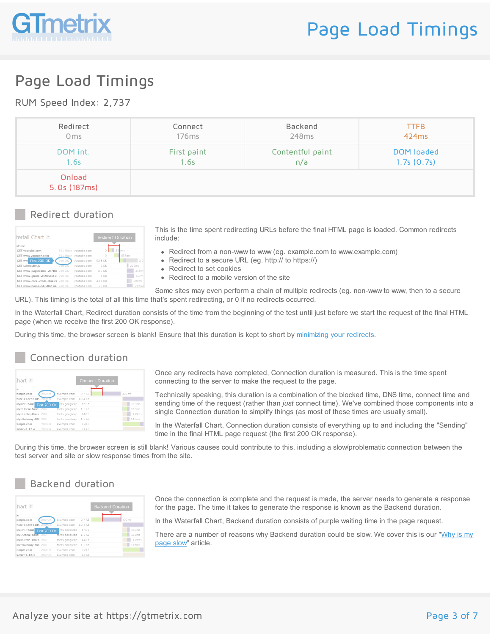

# Page Load Timings

### RUM Speed Index: 2,737

| Redirect               | Connect           | Backend          | <b>TTFB</b> |
|------------------------|-------------------|------------------|-------------|
| 0 <sub>ms</sub>        | 176 <sub>ms</sub> | 248ms            | 424ms       |
| DOM int.               | First paint       | Contentful paint | DOM loaded  |
| 1.6s                   | 1.6s              | n/a              | 1.7s(0.7s)  |
| Onload<br>5.0s (187ms) |                   |                  |             |

#### Redirect duration

| terfall Chart ?                  |               |                       |         | <b>Redirect Duration</b> |                   |
|----------------------------------|---------------|-----------------------|---------|--------------------------|-------------------|
| <b>uTube</b>                     |               |                       |         |                          |                   |
| <b>CET</b> youtube.com           |               | 301 Mover voutube.com | $\circ$ | 63 kms                   |                   |
| GET www.youtube.com              |               | 301 Move voutube.com  | n       | 635ms                    |                   |
| GET www First 200 OK             | 200 OK        | voutube.com           | 52.6 KB |                          | 2.0               |
| <b>GET scheduler.is</b>          | <b>ZUU OK</b> | voutube.com           | $2$ KR  | 222ms                    |                   |
| GET www-pageframe-vfl7RC 200 OK  |               | voutube.com           | 87 KB   |                          | 833m <sup>c</sup> |
| GET www-quide-vfl2WSEld.c 200 OK |               | voutube.com           | 3 KB    |                          | 857m <sup>-</sup> |
| GET www-core-vflkD-QiW.cs 200 OK |               | voutube.com           | 43.8 KB |                          | 599ms             |
| GET www-home-c4-vfllV na 200 OK  |               | voutube com           | 25 KR   |                          | 782ms             |
|                                  |               |                       |         |                          |                   |

This is the time spent redirecting URLs before the final HTML page is loaded. Common redirects include:

- Redirect from a non-www to www (eg. example.com to www.example.com)
- Redirect to a secure URL (eg. http:// to https://)
- Redirect to set cookies
- Redirect to a mobile version of the site

Some sites may even perform a chain of multiple redirects (eg. non-www to www, then to a secure URL). This timing is the total of all this time that's spent redirecting, or 0 if no redirects occurred.

In the Waterfall Chart, Redirect duration consists of the time from the beginning of the test until just before we start the request of the final HTML page (when we receive the first 200 OK response).

During this time, the browser screen is blank! Ensure that this duration is kept to short by [minimizing](https://gtmetrix.com/minimize-redirects.html) your redirects.

### Connection duration

| [hat :                    |        |                     | <b>Connect Duration</b> |       |
|---------------------------|--------|---------------------|-------------------------|-------|
| te                        |        |                     |                         |       |
| ample.com                 | 200 OK | example.com         | 9.7 KB                  | 477ms |
| mize_c72e561d5            | 200 OK | example.com 80.4 KB |                         |       |
| illy=PT+Sans First 200 OK |        | ints.googleap       | 871 B                   | 119ms |
| illy=Open+Sans: 200       |        | fonts.googleap      | 1.1 KB                  | 118ms |
| ilv=Crete+Roun 200        |        | fonts.googleap      | 442 R                   | 139ms |
| ily=Raleway:400 200       |        | fonts.googleap      | 1.1 KB                  | 116ms |
| ample.com                 | 200 OK | example.com         | 259 B                   |       |
| $\sqrt{2}$ ver=1 12 4     | 200 OK | example.com         | 33 KB                   |       |

Once any redirects have completed, Connection duration is measured. This is the time spent connecting to the server to make the request to the page.

Technically speaking, this duration is a combination of the blocked time, DNS time, connect time and sending time of the request (rather than *just* connect time). We've combined those components into a single Connection duration to simplify things (as most of these times are usually small).

In the Waterfall Chart, Connection duration consists of everything up to and including the "Sending" time in the final HTML page request (the first 200 OK response).

During this time, the browser screen is still blank! Various causes could contribute to this, including a slow/problematic connection between the test server and site or slow response times from the site.

### Backend duration

| [hat:                 |              |                |         | <b>Backend Duration</b> |       |
|-----------------------|--------------|----------------|---------|-------------------------|-------|
| te                    |              |                |         |                         |       |
| ample.com             | 200 OK       | example.com    | 9.7 KB  |                         | 477ms |
| mize_c72e561d5_200-OK |              | example.com    | 80.4 KB |                         |       |
| ily=PT+Sans           | First 200 OK | ents.googleap  | 871 B   |                         | 119ms |
| ilv=Open+Sans: 200    |              | fonts.googleap | 1.1 KB  |                         | 118ms |
| ilv=Crete+Roun 200    |              | fonts.googleap | 442 R   |                         | 139ms |
| ily=Raleway:400 200   |              | fonts.googleap | 1.1 KB  |                         | 116ms |
| ample.com             | 200 OK       | example.com    | 259 B   |                         |       |
| $\sqrt{2}$            | 200 OK       | example com    | 33 KR   |                         |       |

Once the connection is complete and the request is made, the server needs to generate a response for the page. The time it takes to generate the response is known as the Backend duration.

In the Waterfall Chart, Backend duration consists of purple waiting time in the page request.

There are a number of reasons why [Backend](https://gtmetrix.com/why-is-my-page-slow.html) duration could be slow. We cover this is our "Why is my page slow" article.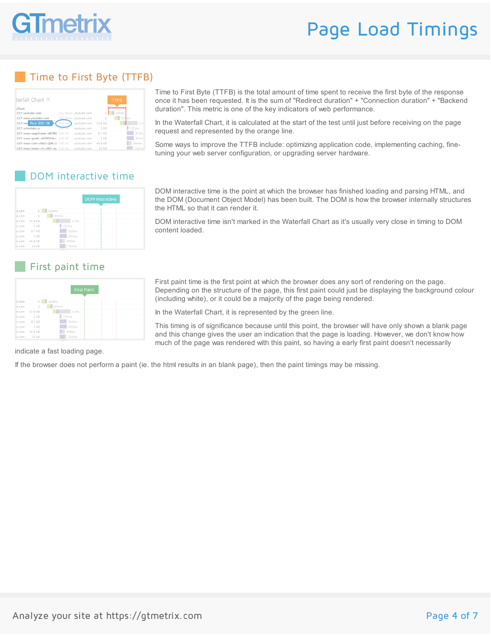

# Page Load Timings

### Time to First Byte (TTFB)

| terfall Chart ?                  |               |                       |          | <b>TTFB</b> |                   |
|----------------------------------|---------------|-----------------------|----------|-------------|-------------------|
| <b>uTube</b>                     |               |                       |          |             |                   |
| <b>GET</b> youtube.com           |               | 301 Mover voutube.com | $\Omega$ | 638ms       |                   |
| GET www.voutube.com              |               | 301 Move voutube.com  | n        | 635ms       |                   |
| GET www First 200 OK             | 200 OK        | voutube.com           | 52.6 KB  |             | 2.01              |
| <b>CET</b> scheduler.is          | <b>ZUUTOK</b> | voutube.com           | $2$ KR   |             | 222ms             |
| GET www-pageframe-vfl7RC 200 OK  |               | voutube.com           | 87 KB    |             | 833m <sup>e</sup> |
| GET www-quide-vfl2WSEld.c 200 OK |               | voutube.com           | 3 KB     |             | 857ms             |
| CET www-core-vflkD-OiW.cs 200 OK |               | voutube.com           | 43.8 KB  |             | 599ms             |
| GET www-home-c4-vfllV na 200 OK  |               | voutube com           | 25 KR    |             | 782ms             |

Time to First Byte (TTFB) is the total amount of time spent to receive the first byte of the response once it has been requested. It is the sum of "Redirect duration" + "Connection duration" + "Backend duration". This metric is one of the key indicators of web performance.

In the Waterfall Chart, it is calculated at the start of the test until just before receiving on the page request and represented by the orange line.

Some ways to improve the TTFB include: optimizing application code, implementing caching, finetuning your web server configuration, or upgrading server hardware.

### DOM interactive time

|       |         |            | <b>DOM</b> Interactive |
|-------|---------|------------|------------------------|
|       |         |            |                        |
| e.com | $\circ$ | 638ms      |                        |
| e.com | $\circ$ | 635ms<br>٠ |                        |
| e.com | 52.6 KB | 2.09s      |                        |
| e.com | 2 KB    | 222ms      |                        |
| e.com | 87 KB   | 833ms      |                        |
| e.com | 3 KB    | 857ms      |                        |
| e.com | 43.8 KB | 599ms      |                        |
| e.com | 25 KB   | 782ms      |                        |

### First paint time

|       |         | <b>First Paint</b> |  |
|-------|---------|--------------------|--|
| e.com | $\circ$ | 638ms              |  |
| e.com | $\circ$ | 635ms              |  |
| e.com | 52.6 KB | 2.09s              |  |
| e.com | 2 KB    | 222ms              |  |
| e.com | 8.7 KB  | 833ms              |  |
| e.com | 3 KB    | 857ms              |  |
| e.com | 43.8 KB | 599ms              |  |
| e.com | 25 KB   | 782ms              |  |

DOM interactive time is the point at which the browser has finished loading and parsing HTML, and the DOM (Document Object Model) has been built. The DOM is how the browser internally structures the HTML so that it can render it.

DOM interactive time isn't marked in the Waterfall Chart as it's usually very close in timing to DOM content loaded.

First paint time is the first point at which the browser does any sort of rendering on the page. Depending on the structure of the page, this first paint could just be displaying the background colour (including white), or it could be a majority of the page being rendered.

In the Waterfall Chart, it is represented by the green line.

This timing is of significance because until this point, the browser will have only shown a blank page and this change gives the user an indication that the page is loading. However, we don't know how much of the page was rendered with this paint, so having a early first paint doesn't necessarily

indicate a fast loading page.

If the browser does not perform a paint (ie. the html results in an blank page), then the paint timings may be missing.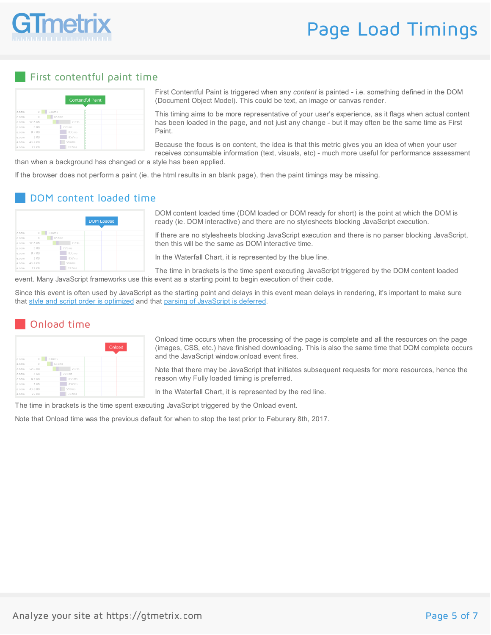

# Page Load Timings

#### First contentful paint time

|        |                                  |            | <b>Contentful Paint</b> |  |  |
|--------|----------------------------------|------------|-------------------------|--|--|
|        |                                  |            |                         |  |  |
| e.com  | $\begin{array}{c} 0 \end{array}$ | 638ms<br>٠ |                         |  |  |
| e.com  | $\circ$                          | 635ms      |                         |  |  |
|        | e.com 52.6 KB                    | 2.09s      |                         |  |  |
|        | e.com 2 KB                       | 222ms      |                         |  |  |
| le.com | 87 KB                            | 833ms      |                         |  |  |
| e.com  | 3 KB                             | 857ms      |                         |  |  |
|        | e.com 43.8 KB                    | 599ms      |                         |  |  |
| e.com  | 25 KB                            | 782ms      |                         |  |  |

First Contentful Paint is triggered when any *content* is painted - i.e. something defined in the DOM (Document Object Model). This could be text, an image or canvas render.

This timing aims to be more representative of your user's experience, as it flags when actual content has been loaded in the page, and not just any change - but it may often be the same time as First Paint.

Because the focus is on content, the idea is that this metric gives you an idea of when your user receives consumable information (text, visuals, etc) - much more useful for performance assessment

than when a background has changed or a style has been applied.

If the browser does not perform a paint (ie. the html results in an blank page), then the paint timings may be missing.

### DOM content loaded time

|       |          |            | <b>DOM Loaded</b> |
|-------|----------|------------|-------------------|
| e.com | $\theta$ | 638ms      |                   |
| e.com | $\circ$  | 635ms<br>٠ |                   |
| e.com | 52.6 KB  | 2.09s      |                   |
| e.com | 2 K R    | 222ms      |                   |
| e.com | 87 KB    | 833ms      |                   |
| e.com | 3 KB     | 857ms      |                   |
| e.com | 43.8 KB  | 599ms      |                   |
| e.com | 25 KR    | 782ms      |                   |
|       |          |            |                   |

DOM content loaded time (DOM loaded or DOM ready for short) is the point at which the DOM is ready (ie. DOM interactive) and there are no stylesheets blocking JavaScript execution.

If there are no stylesheets blocking JavaScript execution and there is no parser blocking JavaScript, then this will be the same as DOM interactive time.

In the Waterfall Chart, it is represented by the blue line.

The time in brackets is the time spent executing JavaScript triggered by the DOM content loaded event. Many JavaScript frameworks use this event as a starting point to begin execution of their code.

Since this event is often used by JavaScript as the starting point and delays in this event mean delays in rendering, it's important to make sure that style and script order is [optimized](https://gtmetrix.com/optimize-the-order-of-styles-and-scripts.html) and that parsing of [JavaScript](https://gtmetrix.com/defer-parsing-of-javascript.html) is deferred.

### Onload time

|       |         |            | Onload |
|-------|---------|------------|--------|
| e.com | $\circ$ | 638ms<br>٠ |        |
| e.com | $\circ$ | 635ms      |        |
| e.com | 52.6 KB | 2.09s      |        |
| e.com | 2 KB    | 222ms      |        |
| e.com | 8.7 KB  | 833ms      |        |
| e.com | 3 KB    | 857ms      |        |
| e.com | 43.8 KB | 599ms      |        |
| A COM | つに レロ   | 702mm      |        |

Onload time occurs when the processing of the page is complete and all the resources on the page (images, CSS, etc.) have finished downloading. This is also the same time that DOM complete occurs and the JavaScript window.onload event fires.

Note that there may be JavaScript that initiates subsequent requests for more resources, hence the reason why Fully loaded timing is preferred.

In the Waterfall Chart, it is represented by the red line.

The time in brackets is the time spent executing JavaScript triggered by the Onload event.

Note that Onload time was the previous default for when to stop the test prior to Feburary 8th, 2017.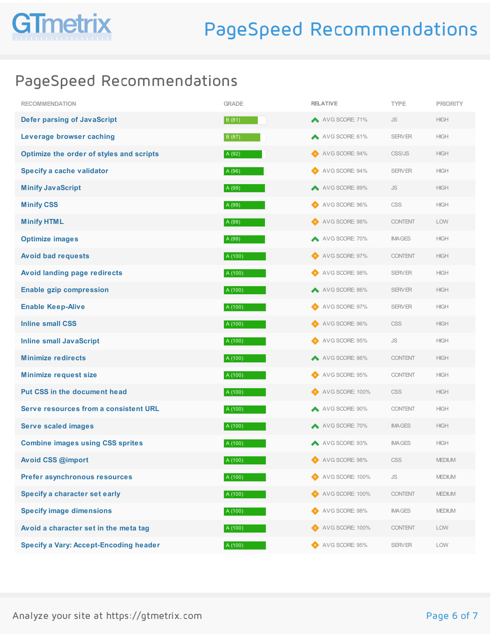

## PageSpeed Recommendations

| <b>RECOMMENDATION</b>                         | <b>GRADE</b> | <b>RELATIVE</b>     | <b>TYPE</b>          | <b>PRIORITY</b> |
|-----------------------------------------------|--------------|---------------------|----------------------|-----------------|
| <b>Defer parsing of JavaScript</b>            | B (81)       | A VG SCORE: 71%     | <b>JS</b>            | <b>HIGH</b>     |
| Leverage browser caching                      | B (87)       | AVG SCORE: 61%      | <b>SERVER</b>        | <b>HIGH</b>     |
| Optimize the order of styles and scripts      | A (92)       | AVG SCORE: 94%      | CSS/JS               | <b>HIGH</b>     |
| Specify a cache validator                     | A (96)       | AVG SCORE: 94%      | <b>SERVER</b>        | <b>HIGH</b>     |
| <b>Minify JavaScript</b>                      | A (99)       | AVG SCORE: 89%      | <b>JS</b>            | <b>HIGH</b>     |
| <b>Minify CSS</b>                             | A (99)       | AVG SCORE: 96%      | CSS                  | <b>HIGH</b>     |
| <b>Minify HTML</b>                            | A (99)       | AVG SCORE: 98%      | <b>CONTENT</b>       | <b>LOW</b>      |
| <b>Optimize images</b>                        | A (99)       | AVG SCORE: 70%      | <b>IMAGES</b>        | <b>HIGH</b>     |
| <b>Avoid bad requests</b>                     | A (100)      | AVG SCORE: 97%      | <b>CONTENT</b>       | <b>HIGH</b>     |
| Avoid landing page redirects                  | A (100)      | AVG SCORE: 98%      | <b>SERVER</b>        | <b>HIGH</b>     |
| <b>Enable gzip compression</b>                | A (100)      | A VG SCORE: 86%     | <b>SERVER</b>        | <b>HIGH</b>     |
| <b>Enable Keep-Alive</b>                      | A (100)      | AVG SCORE: 97%      | <b>SERVER</b>        | <b>HIGH</b>     |
| <b>Inline small CSS</b>                       | A (100)      | AVG SCORE: 96%      | <b>CSS</b>           | <b>HIGH</b>     |
| <b>Inline small JavaScript</b>                | A (100)      | AVG SCORE: 95%      | <b>JS</b>            | <b>HIGH</b>     |
| <b>Minimize redirects</b>                     | A (100)      | A VG SCORE: 86%     | <b>CONTENT</b>       | <b>HIGH</b>     |
| <b>Minimize request size</b>                  | A (100)      | AVG SCORE: 95%      | <b>CONTENT</b>       | <b>HIGH</b>     |
| Put CSS in the document head                  | A (100)      | AVG SCORE: 100%     | CSS                  | <b>HIGH</b>     |
| Serve resources from a consistent URL         | A (100)      | A VG SCORE: 90%     | <b>CONTENT</b>       | <b>HIGH</b>     |
| <b>Serve scaled images</b>                    | A (100)      | AVG SCORE: 70%      | <b>IMAGES</b>        | <b>HIGH</b>     |
| <b>Combine images using CSS sprites</b>       | A (100)      | AVG SCORE: 93%      | <b>IMAGES</b>        | <b>HIGH</b>     |
| Avoid CSS @import                             | A (100)      | AVG SCORE: 98%      | CSS                  | <b>MEDIUM</b>   |
| Prefer asynchronous resources                 | A (100)      | AVG SCORE: 100%     | $\mathsf{JS}\xspace$ | <b>MEDIUM</b>   |
| Specify a character set early                 | A (100)      | AVG SCORE: 100%     | <b>CONTENT</b>       | <b>MEDIUM</b>   |
| <b>Specify image dimensions</b>               | A (100)      | AVG SCORE: 98%      | <b>IMAGES</b>        | <b>MEDIUM</b>   |
| Avoid a character set in the meta tag         | A (100)      | AVG SCORE: 100%     | <b>CONTENT</b>       | LOW             |
| <b>Specify a Vary: Accept-Encoding header</b> | A (100)      | AVG SCORE: 95%<br>◐ | <b>SERVER</b>        | LOW             |